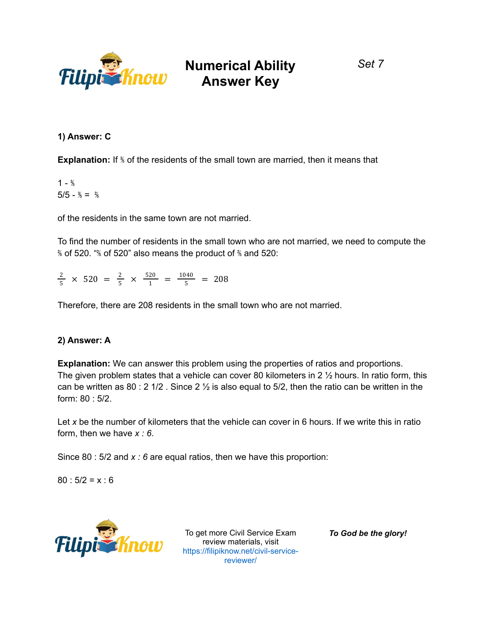

**1) Answer: C**

**Explanation:** If  $\frac{1}{2}$  of the residents of the small town are married, then it means that

 $1 - \frac{3}{5}$  $5/5 - \frac{3}{5} = \frac{2}{5}$ 

of the residents in the same town are not married.

To find the number of residents in the small town who are not married, we need to compute the ⅖ of 520. "⅖ of 520" also means the product of ⅖ and 520:

 $\frac{2}{5}$  × 520 =  $\frac{2}{5}$  ×  $\frac{520}{1}$  =  $\frac{1040}{5}$  = 208

Therefore, there are 208 residents in the small town who are not married.

### **2) Answer: A**

**Explanation:** We can answer this problem using the properties of ratios and proportions. The given problem states that a vehicle can cover 80 kilometers in 2 ½ hours. In ratio form, this can be written as 80 : 2 1/2 . Since 2  $\frac{1}{2}$  is also equal to 5/2, then the ratio can be written in the form: 80 : 5/2.

Let x be the number of kilometers that the vehicle can cover in 6 hours. If we write this in ratio form, then we have *x : 6*.

Since 80 : 5/2 and *x : 6* are equal ratios, then we have this proportion:

 $80 : 5/2 = x : 6$ 



To get more Civil Service Exam review materials, visit https://filipiknow.net/civil-servicereviewer/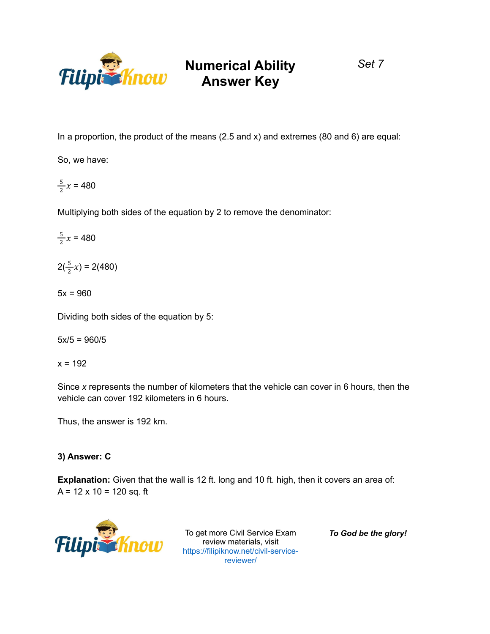

*Set 7*

In a proportion, the product of the means  $(2.5 \text{ and } x)$  and extremes  $(80 \text{ and } 6)$  are equal:

So, we have:

$$
\frac{5}{2}x = 480
$$

Multiplying both sides of the equation by 2 to remove the denominator:

 $\frac{5}{2}x = 480$  $\frac{3}{2}x$ 

 $2(\frac{5}{2}x) = 2(480)$  $\frac{5}{2}x$ 

 $5x = 960$ 

Dividing both sides of the equation by 5:

 $5x/5 = 960/5$ 

 $x = 192$ 

Since *x* represents the number of kilometers that the vehicle can cover in 6 hours, then the vehicle can cover 192 kilometers in 6 hours.

Thus, the answer is 192 km.

### **3) Answer: C**

**Explanation:** Given that the wall is 12 ft. long and 10 ft. high, then it covers an area of:  $A = 12 \times 10 = 120$  sq. ft



To get more Civil Service Exam review materials, visit https://filipiknow.net/civil-servicereviewer/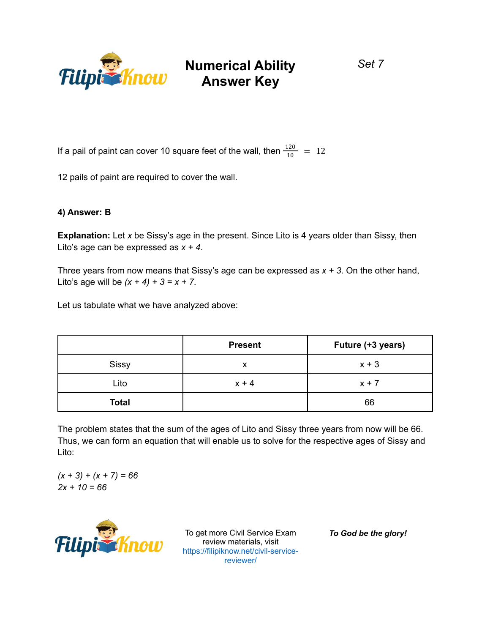

*Set 7*

If a pail of paint can cover 10 square feet of the wall, then  $\frac{120}{10}$  = 12

12 pails of paint are required to cover the wall.

### **4) Answer: B**

**Explanation:** Let *x* be Sissy's age in the present. Since Lito is 4 years older than Sissy, then Lito's age can be expressed as *x + 4*.

Three years from now means that Sissy's age can be expressed as *x + 3*. On the other hand, Lito's age will be  $(x + 4) + 3 = x + 7$ .

Let us tabulate what we have analyzed above:

|              | <b>Present</b> | Future (+3 years) |
|--------------|----------------|-------------------|
| <b>Sissy</b> | x              | $x + 3$           |
| Lito         | $x + 4$        | $x + 7$           |
| <b>Total</b> |                | 66                |

The problem states that the sum of the ages of Lito and Sissy three years from now will be 66. Thus, we can form an equation that will enable us to solve for the respective ages of Sissy and Lito:

*(x + 3) + (x + 7) = 66 2x + 10 = 66*



To get more Civil Service Exam review materials, visit https://filipiknow.net/civil-servicereviewer/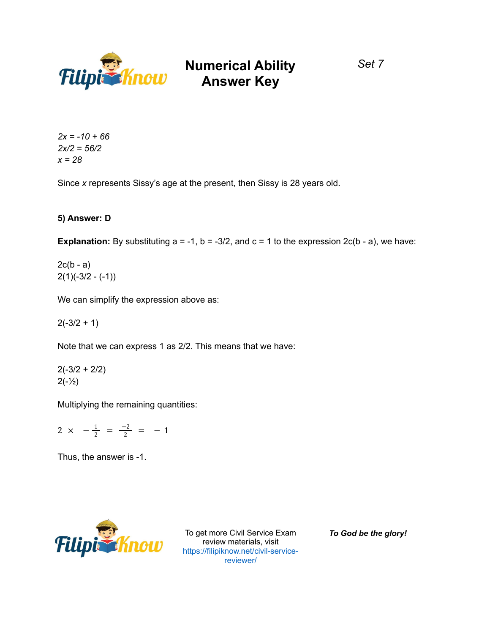

*2x = -10 + 66 2x/2 = 56/2 x = 28*

Since *x* represents Sissy's age at the present, then Sissy is 28 years old.

### **5) Answer: D**

**Explanation:** By substituting  $a = -1$ ,  $b = -3/2$ , and  $c = 1$  to the expression  $2c(b - a)$ , we have:

 $2c(b - a)$  $2(1)(-3/2 - (-1))$ 

We can simplify the expression above as:

 $2(-3/2 + 1)$ 

Note that we can express 1 as 2/2. This means that we have:

 $2(-3/2 + 2/2)$  $2(-\frac{1}{2})$ 

Multiplying the remaining quantities:

 $2 \times -\frac{1}{2} = \frac{-2}{2} = -1$ 

Thus, the answer is -1.



To get more Civil Service Exam review materials, visit https://filipiknow.net/civil-servicereviewer/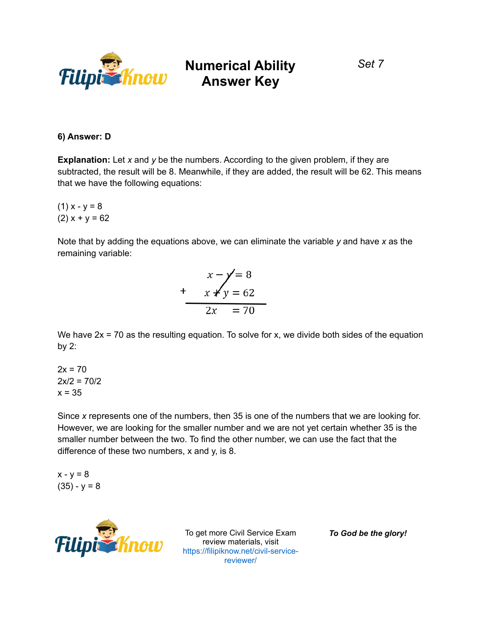

### *Set 7*

### **6) Answer: D**

**Explanation:** Let *x* and *y* be the numbers. According to the given problem, if they are subtracted, the result will be 8. Meanwhile, if they are added, the result will be 62. This means that we have the following equations:

 $(1) x - y = 8$  $(2) x + y = 62$ 

Note that by adding the equations above, we can eliminate the variable *y* and have *x* as the remaining variable:



We have  $2x = 70$  as the resulting equation. To solve for x, we divide both sides of the equation by 2:

 $2x = 70$  $2x/2 = 70/2$  $x = 35$ 

Since *x* represents one of the numbers, then 35 is one of the numbers that we are looking for. However, we are looking for the smaller number and we are not yet certain whether 35 is the smaller number between the two. To find the other number, we can use the fact that the difference of these two numbers, x and y, is 8.

 $x - y = 8$  $(35) - y = 8$ 



To get more Civil Service Exam review materials, visit https://filipiknow.net/civil-servicereviewer/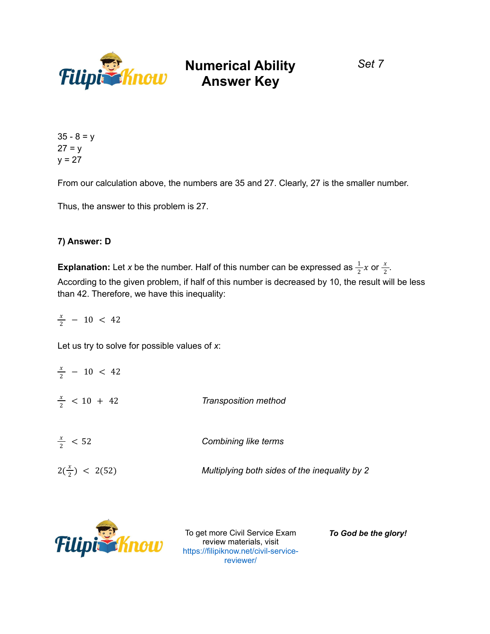

*Set 7*

 $35 - 8 = y$  $27 = y$  $y = 27$ 

From our calculation above, the numbers are 35 and 27. Clearly, 27 is the smaller number.

Thus, the answer to this problem is 27.

### **7) Answer: D**

**Explanation:** Let *x* be the number. Half of this number can be expressed as  $\frac{1}{2}x$  or  $\frac{x}{2}$ .  $rac{1}{2}x$  or  $rac{x}{2}$ 2 According to the given problem, if half of this number is decreased by 10, the result will be less than 42. Therefore, we have this inequality:

 $\frac{x}{2}$  – 10 < 42

Let us try to solve for possible values of *x*:

| $\frac{x}{2}$ - 10 < 42  |                                               |
|--------------------------|-----------------------------------------------|
| $\frac{x}{2}$ < 10 + 42  | Transposition method                          |
| $\frac{x}{2}$ < 52       | Combining like terms                          |
| $2(\frac{x}{2})$ < 2(52) | Multiplying both sides of the inequality by 2 |
|                          |                                               |



To get more Civil Service Exam review materials, visit https://filipiknow.net/civil-servicereviewer/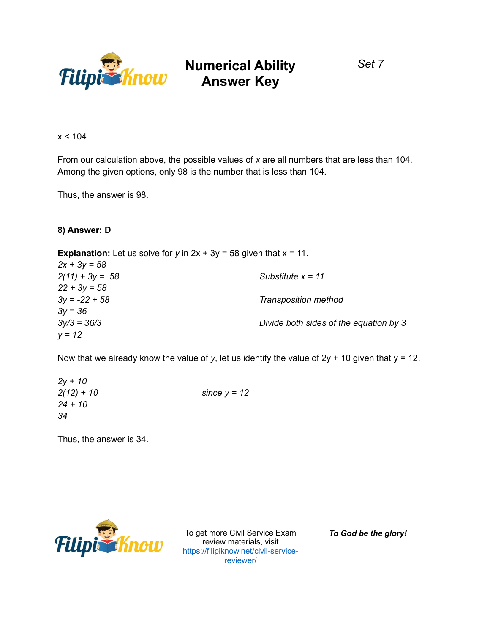

*Set 7*

 $x < 104$ 

From our calculation above, the possible values of *x* are all numbers that are less than 104. Among the given options, only 98 is the number that is less than 104.

Thus, the answer is 98.

### **8) Answer: D**

**Explanation:** Let us solve for  $y$  in  $2x + 3y = 58$  given that  $x = 11$ . *2x + 3y = 58 2(11) + 3y = 58 Substitute x = 11 22 + 3y = 58 3y = -22 + 58 Transposition method 3y = 36 3y/3 = 36/3 Divide both sides of the equation by 3 y = 12*

Now that we already know the value of y, let us identify the value of  $2y + 10$  given that  $y = 12$ .

*2y + 10 2(12) + 10 since y = 12 24 + 10 34*

Thus, the answer is 34.



To get more Civil Service Exam review materials, visit<br>https://filipiknow.net/civil-ser https://filipiknow.net/civil-servicereviewer/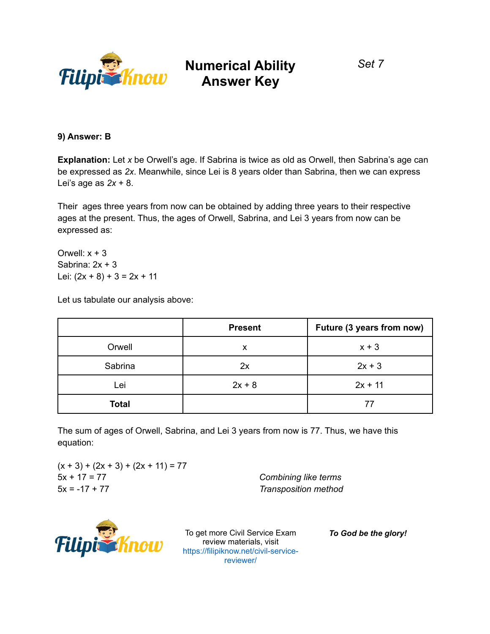

*Set 7*

**9) Answer: B**

**Explanation:** Let *x* be Orwell's age. If Sabrina is twice as old as Orwell, then Sabrina's age can be expressed as *2x*. Meanwhile, since Lei is 8 years older than Sabrina, then we can express Lei's age as *2x* + 8.

Their ages three years from now can be obtained by adding three years to their respective ages at the present. Thus, the ages of Orwell, Sabrina, and Lei 3 years from now can be expressed as:

Orwell:  $x + 3$ Sabrina: 2x + 3 Lei:  $(2x + 8) + 3 = 2x + 11$ 

Let us tabulate our analysis above:

|              | <b>Present</b> | Future (3 years from now) |
|--------------|----------------|---------------------------|
| Orwell       | x              | $x + 3$                   |
| Sabrina      | 2x             | $2x + 3$                  |
| Lei          | $2x + 8$       | $2x + 11$                 |
| <b>Total</b> |                | 77                        |

The sum of ages of Orwell, Sabrina, and Lei 3 years from now is 77. Thus, we have this equation:

 $(x + 3) + (2x + 3) + (2x + 11) = 77$ 5x + 17 = 77 *Combining like terms* 5x = -17 + 77 *Transposition method*



To get more Civil Service Exam review materials, visit https://filipiknow.net/civil-servicereviewer/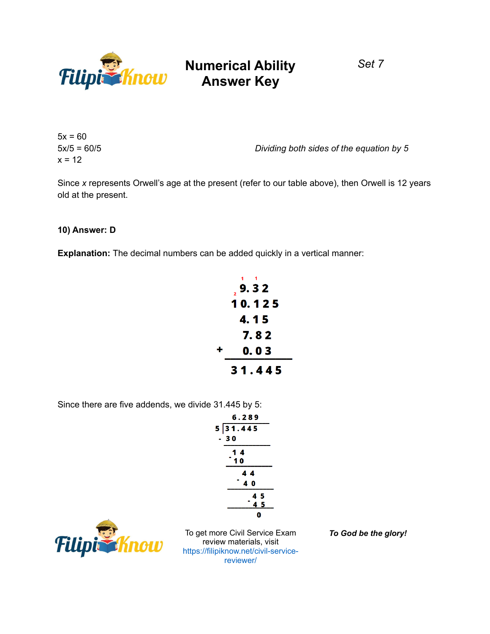

*Set 7*

 $5x = 60$  $x = 12$ 

5x/5 = 60/5 *Dividing both sides of the equation by 5*

Since *x* represents Orwell's age at the present (refer to our table above), then Orwell is 12 years old at the present.

#### **10) Answer: D**

**Explanation:** The decimal numbers can be added quickly in a vertical manner:

|   | 9.32   |
|---|--------|
|   | 10.125 |
|   | 4. 1 5 |
|   | 7.82   |
| ╋ | 0.03   |
|   | 31.445 |

Since there are five addends, we divide 31.445 by 5:

|    | 6.289                                         |
|----|-----------------------------------------------|
|    | 5 31.445                                      |
| a. | 30                                            |
|    |                                               |
|    | $\begin{array}{c} 1 & 4 \\ 1 & 0 \end{array}$ |
|    | 44                                            |
|    | 40                                            |
|    | 45                                            |
|    | . .<br>45                                     |
|    | ŋ                                             |



To get more Civil Service Exam review materials, visit https://filipiknow.net/civil-servicereviewer/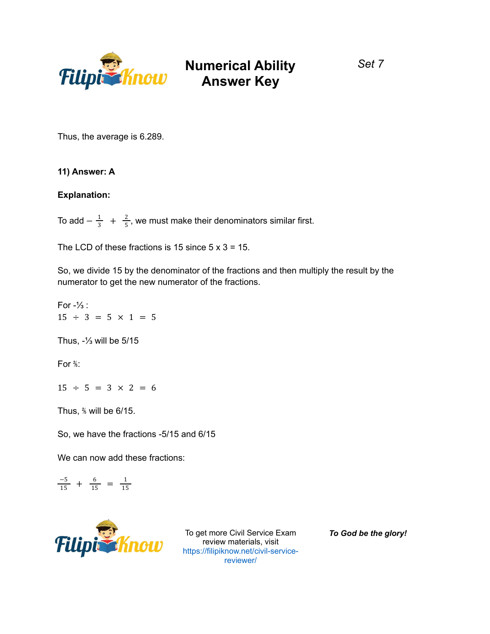

*Set 7*

Thus, the average is 6.289.

### **11) Answer: A**

#### **Explanation:**

To add  $-\frac{1}{3}$  +  $\frac{2}{5}$ , we must make their denominators similar first. 5

The LCD of these fractions is 15 since  $5 \times 3 = 15$ .

So, we divide 15 by the denominator of the fractions and then multiply the result by the numerator to get the new numerator of the fractions.

For  $-\frac{1}{3}$ :  $15 \div 3 = 5 \times 1 = 5$ Thus, -⅓ will be 5/15 For  $\frac{2}{5}$ :  $15 \div 5 = 3 \times 2 = 6$ Thus, ⅖ will be 6/15. So, we have the fractions -5/15 and 6/15 We can now add these fractions:

 $\frac{-5}{15} + \frac{6}{15} = \frac{1}{15}$ 15



To get more Civil Service Exam review materials, visit https://filipiknow.net/civil-servicereviewer/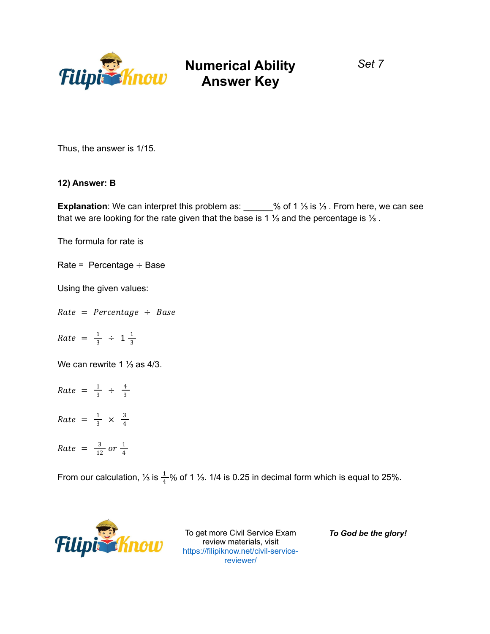

*Set 7*

Thus, the answer is 1/15.

#### **12) Answer: B**

**Explanation**: We can interpret this problem as: \_\_\_\_\_\_% of 1 ⅓ is ⅓ . From here, we can see that we are looking for the rate given that the base is 1 ⅓ and the percentage is ⅓ .

The formula for rate is

Rate = Percentage  $\div$  Base

Using the given values:

 $Rate = Percentage \div Base$ 

 $Rate = \frac{1}{3} \div 1\frac{1}{3}$ 3

We can rewrite 1 ⅓ as 4/3.

- $Rate = \frac{1}{3} \div \frac{4}{3}$ 3
- $Rate = \frac{1}{3} \times \frac{3}{4}$ 4
- $Rate = \frac{3}{12}$  $rac{3}{12}$  or  $rac{1}{4}$ 4

From our calculation, ⅓ is  $\frac{1}{4}$ % of 1 ⅓. 1/4 is 0.25 in decimal form which is equal to 25%.



To get more Civil Service Exam review materials, visit https://filipiknow.net/civil-servicereviewer/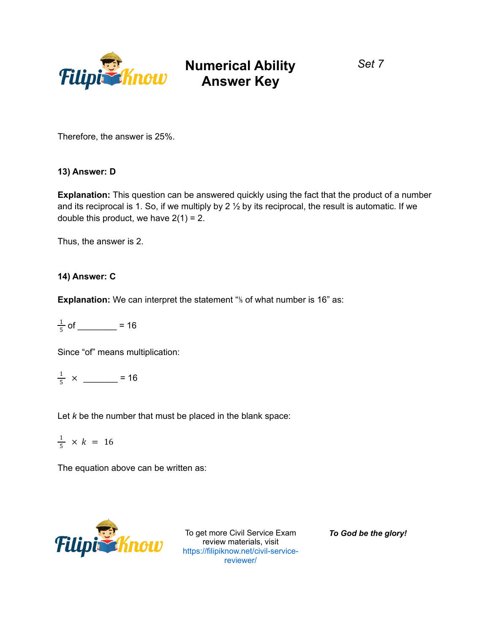

*Set 7*

Therefore, the answer is 25%.

### **13) Answer: D**

**Explanation:** This question can be answered quickly using the fact that the product of a number and its reciprocal is 1. So, if we multiply by 2  $\frac{1}{2}$  by its reciprocal, the result is automatic. If we double this product, we have  $2(1) = 2$ .

Thus, the answer is 2.

### **14) Answer: C**

**Explanation:** We can interpret the statement "<sup>*I*</sup> of what number is 16" as:

$$
\frac{1}{5} \text{ of } \underline{\hspace{1cm}} = 16
$$

Since "of" means multiplication:

$$
\frac{1}{5} \times \underline{\hspace{1cm}} = 16
$$

Let *k* be the number that must be placed in the blank space:

 $\frac{1}{5}$  × k = 16

The equation above can be written as:



To get more Civil Service Exam review materials, visit https://filipiknow.net/civil-servicereviewer/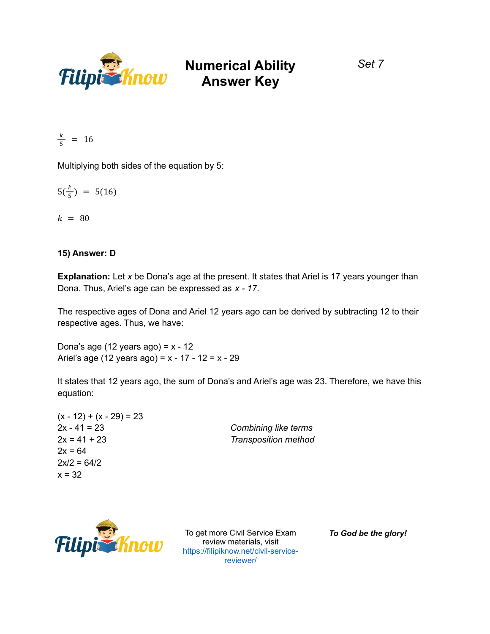

*Set 7*

$$
\frac{k}{5} = 16
$$

Multiplying both sides of the equation by 5:

$$
5(\frac{k}{5}) = 5(16)
$$

 $k = 80$ 

### **15) Answer: D**

**Explanation:** Let *x* be Dona's age at the present. It states that Ariel is 17 years younger than Dona. Thus, Ariel's age can be expressed as *x - 17*.

The respective ages of Dona and Ariel 12 years ago can be derived by subtracting 12 to their respective ages. Thus, we have:

Dona's age (12 years ago) =  $x - 12$ Ariel's age (12 years ago) =  $x - 17 - 12 = x - 29$ 

It states that 12 years ago, the sum of Dona's and Ariel's age was 23. Therefore, we have this equation:

| $(x - 12) + (x - 29) = 23$ |                      |
|----------------------------|----------------------|
| $2x - 41 = 23$             | Combining like terms |
| $2x = 41 + 23$             | Transposition method |
| $2x = 64$                  |                      |
| $2x/2 = 64/2$              |                      |
| $x = 32$                   |                      |



To get more Civil Service Exam review materials, visit https://filipiknow.net/civil-servicereviewer/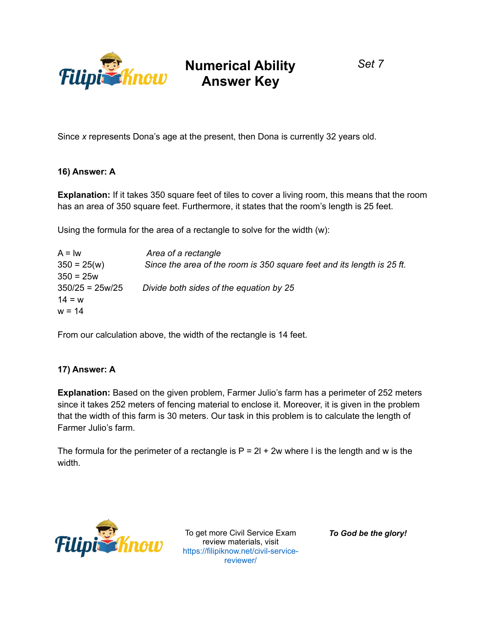

*Set 7*

Since *x* represents Dona's age at the present, then Dona is currently 32 years old.

### **16) Answer: A**

**Explanation:** If it takes 350 square feet of tiles to cover a living room, this means that the room has an area of 350 square feet. Furthermore, it states that the room's length is 25 feet.

Using the formula for the area of a rectangle to solve for the width (w):

| $A = lw$          | Area of a rectangle                                                    |
|-------------------|------------------------------------------------------------------------|
| $350 = 25(w)$     | Since the area of the room is 350 square feet and its length is 25 ft. |
| $350 = 25w$       |                                                                        |
| $350/25 = 25w/25$ | Divide both sides of the equation by 25                                |
| $14 = w$          |                                                                        |
| $w = 14$          |                                                                        |

From our calculation above, the width of the rectangle is 14 feet.

#### **17) Answer: A**

**Explanation:** Based on the given problem, Farmer Julio's farm has a perimeter of 252 meters since it takes 252 meters of fencing material to enclose it. Moreover, it is given in the problem that the width of this farm is 30 meters. Our task in this problem is to calculate the length of Farmer Julio's farm.

The formula for the perimeter of a rectangle is  $P = 2l + 2w$  where I is the length and w is the width.



To get more Civil Service Exam review materials, visit https://filipiknow.net/civil-servicereviewer/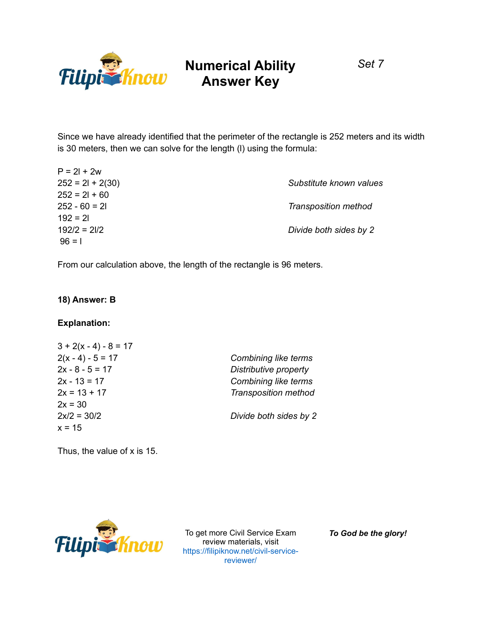

*Set 7*

Since we have already identified that the perimeter of the rectangle is 252 meters and its width is 30 meters, then we can solve for the length (l) using the formula:

| $P = 2l + 2w$      |                         |
|--------------------|-------------------------|
| $252 = 21 + 2(30)$ | Substitute known values |
| $252 = 21 + 60$    |                         |
| $252 - 60 = 21$    | Transposition method    |
| $192 = 21$         |                         |
| $192/2 = 21/2$     | Divide both sides by 2  |
| $96 = 1$           |                         |

From our calculation above, the length of the rectangle is 96 meters.

### **18) Answer: B**

#### **Explanation:**

| $3 + 2(x - 4) - 8 = 17$ |                             |
|-------------------------|-----------------------------|
| $2(x - 4) - 5 = 17$     | Combining like terms        |
| $2x - 8 - 5 = 17$       | Distributive property       |
| $2x - 13 = 17$          | Combining like terms        |
| $2x = 13 + 17$          | <b>Transposition method</b> |
| $2x = 30$               |                             |
| $2x/2 = 30/2$           | Divide both sides by 2      |
| $x = 15$                |                             |

Thus, the value of x is 15.



To get more Civil Service Exam review materials, visit https://filipiknow.net/civil-servicereviewer/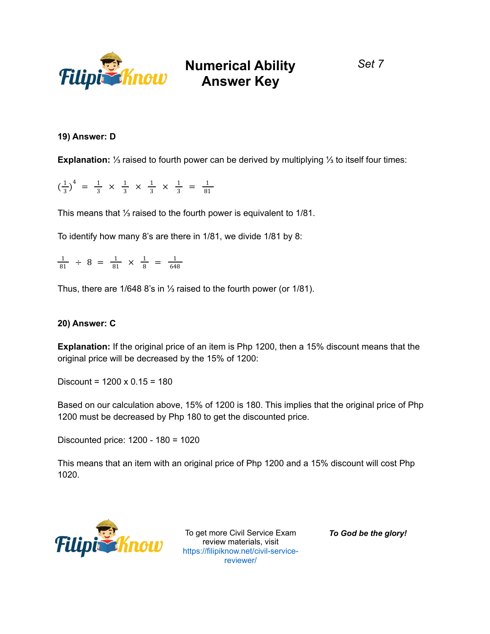

### *Set 7*

### **19) Answer: D**

**Explanation:** ⅓ raised to fourth power can be derived by multiplying ⅓ to itself four times:

 $\left(\frac{1}{2}\right)$  $\frac{1}{3}$ )<sup>4</sup> =  $\frac{1}{3}$  x  $\frac{1}{3}$  x  $\frac{1}{3}$  x  $\frac{1}{3}$  =  $\frac{1}{81}$ 81

This means that ⅓ raised to the fourth power is equivalent to 1/81.

To identify how many 8's are there in 1/81, we divide 1/81 by 8:

 $\frac{1}{81}$   $\div$  8 =  $\frac{1}{81}$   $\times$   $\frac{1}{8}$  =  $\frac{1}{648}$ 648

Thus, there are 1/648 8's in ⅓ raised to the fourth power (or 1/81).

#### **20) Answer: C**

**Explanation:** If the original price of an item is Php 1200, then a 15% discount means that the original price will be decreased by the 15% of 1200:

Discount =  $1200 \times 0.15 = 180$ 

Based on our calculation above, 15% of 1200 is 180. This implies that the original price of Php 1200 must be decreased by Php 180 to get the discounted price.

Discounted price: 1200 - 180 = 1020

This means that an item with an original price of Php 1200 and a 15% discount will cost Php 1020.



To get more Civil Service Exam review materials, visit https://filipiknow.net/civil-servicereviewer/